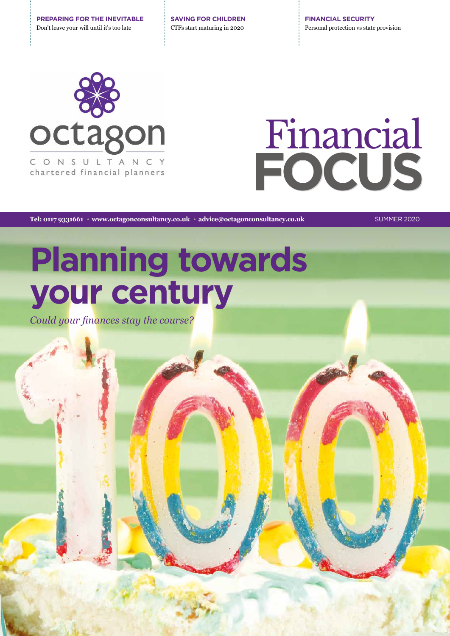**PREPARING FOR THE INEVITABLE** Don't leave your will until it's too late

**SAVING FOR CHILDREN** CTFs start maturing in 2020

**FINANCIAL SECURITY** Personal protection vs state provision



# **FOCUS** Financial

Tel: 0117 9331661 · www.octagonconsultancy.co.uk · advice@octagonconsultancy.co.uk **SUMMER 2020** 

## **Planning towards your century**

*Could your finances stay the course?*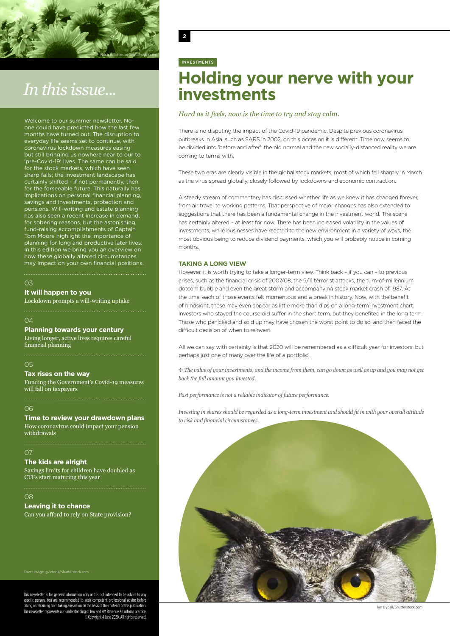

## *In this issue...*

Welcome to our summer newsletter. Noone could have predicted how the last few months have turned out. The disruption to everyday life seems set to continue, with coronavirus lockdown measures easing but still bringing us nowhere near to our to 'pre-Covid-19' lives. The same can be said for the stock markets, which have seen sharp falls; the investment landscape has certainly shifted - if not permanently, then for the forseeable future. This naturally has implications on personal financial planning, savings and investments, protection and pensions. Will-writing and estate planning has also seen a recent increase in demand, for sobering reasons, but the astonishing fund-raising accomplishments of Captain Tom Moore highlight the importance of planning for long and productive later lives. In this edition we bring you an overview on how these globally altered circumstances may impact on your own financial positions.

#### 03

**It will happen to you**

Lockdown prompts a will-writing uptake

#### $04$

**Planning towards your century**

Living longer, active lives requires careful financial planning

#### 05

#### **Tax rises on the way**

Funding the Government's Covid-19 measures will fall on taxpayers

#### 06

#### **Time to review your drawdown plans**

How coronavirus could impact your pension withdrawals

#### $\Omega$

**The kids are alright**

Savings limits for children have doubled as CTFs start maturing this year

#### 08

#### **Leaving it to chance**

Can you afford to rely on State provision?

Cover image: gvictoria/Shutterstock.com

This newsletter is for general information only and is not intended to be advice to any specific person. You are recommended to seek competent professional advice before ng or refraining from taking any action on the basis of the contents of this publication. sletter represents our understanding of law and HM Revenue & Customs practice. © Copyright 4 June 2020. All rights reserved.

#### **2**

#### INVESTMENTS

### **Holding your nerve with your investments**

#### *Hard as it feels, now is the time to try and stay calm.*

There is no disputing the impact of the Covid-19 pandemic. Despite previous coronavirus outbreaks in Asia, such as SARS in 2002, on this occasion it is different. Time now seems to be divided into 'before and after': the old normal and the new socially-distanced reality we are coming to terms with.

These two eras are clearly visible in the global stock markets, most of which fell sharply in March as the virus spread globally, closely followed by lockdowns and economic contraction.

A steady stream of commentary has discussed whether life as we knew it has changed forever, from air travel to working patterns. That perspective of major changes has also extended to suggestions that there has been a fundamental change in the investment world. The scene has certainly altered – at least for now. There has been increased volatility in the values of investments, while businesses have reacted to the new environment in a variety of ways, the most obvious being to reduce dividend payments, which you will probably notice in coming months.

#### **TAKING A LONG VIEW**

However, it is worth trying to take a longer-term view. Think back – if you can – to previous crises, such as the financial crisis of 2007/08, the 9/11 terrorist attacks, the turn-of-millennium dotcom bubble and even the great storm and accompanying stock market crash of 1987. At the time, each of those events felt momentous and a break in history. Now, with the benefit of hindsight, these may even appear as little more than dips on a long-term investment chart. Investors who stayed the course did suffer in the short term, but they benefited in the long term. Those who panicked and sold up may have chosen the worst point to do so, and then faced the difficult decision of when to reinvest.

All we can say with certainty is that 2020 will be remembered as a difficult year for investors, but perhaps just one of many over the life of a portfolio.

B *The value of your investments, and the income from them, can go down as well as up and you may not get back the full amount you invested.* 

*Past performance is not a reliable indicator of future performance.* 

*Investing in shares should be regarded as a long-term investment and should fit in with your overall attitude to risk and financial circumstances.*



Ian Dyball/Shutterstock.com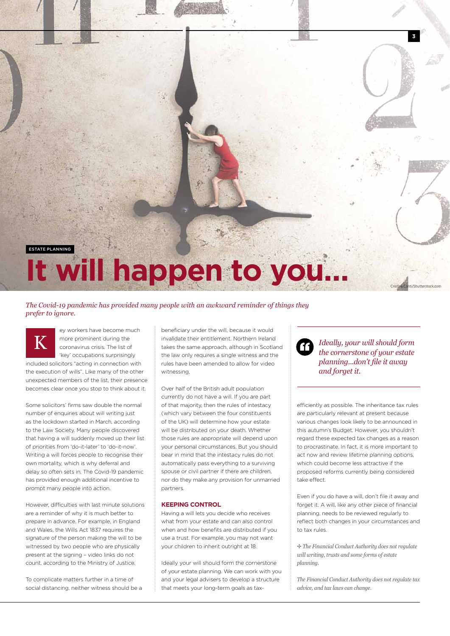

#### *The Covid-19 pandemic has provided many people with an awkward reminder of things they prefer to ignore.*

ey workers have become much more prominent during the coronavirus crisis. The list of 'key' occupations surprisingly included solicitors "acting in connection with the execution of wills". Like many of the other unexpected members of the list, their presence becomes clear once you stop to think about it. K

Some solicitors' firms saw double the normal number of enquiries about will writing just as the lockdown started in March, according to the Law Society. Many people discovered that having a will suddenly moved up their list of priorities from 'do-it-later' to 'do-it-now'. Writing a will forces people to recognise their own mortality, which is why deferral and delay so often sets in. The Covid-19 pandemic has provided enough additional incentive to prompt many people into action.

However, difficulties with last minute solutions are a reminder of why it is much better to prepare in advance. For example, in England and Wales, the Wills Act 1837 requires the signature of the person making the will to be witnessed by two people who are physically present at the signing – video links do not count, according to the Ministry of Justice.

To complicate matters further in a time of social distancing, neither witness should be a

beneficiary under the will, because it would invalidate their entitlement. Northern Ireland takes the same approach, although in Scotland the law only requires a single witness and the rules have been amended to allow for video witnessing.

Over half of the British adult population currently do not have a will. If you are part of that majority, then the rules of intestacy (which vary between the four constituents of the UK) will determine how your estate will be distributed on your death. Whether those rules are appropriate will depend upon your personal circumstances. But you should bear in mind that the intestacy rules do not automatically pass everything to a surviving spouse or civil partner if there are children nor do they make any provision for unmarried partners.

#### **KEEPING CONTROL**

Having a will lets you decide who receives what from your estate and can also control when and how benefits are distributed if you use a trust. For example, you may not want your children to inherit outright at 18.

Ideally your will should form the cornerstone of your estate planning. We can work with you and your legal advisers to develop a structure that meets your long-term goals as tax*Ideally, your will should form the cornerstone of your estate planning...don't file it away and forget it.*

"

efficiently as possible. The inheritance tax rules are particularly relevant at present because various changes look likely to be announced in this autumn's Budget. However, you shouldn't regard these expected tax changes as a reason to procrastinate. In fact, it is more important to act now and review lifetime planning options, which could become less attractive if the proposed reforms currently being considered take effect.

Even if you do have a will, don't file it away and forget it. A will, like any other piece of financial planning, needs to be reviewed regularly to reflect both changes in your circumstances and to tax rules.

B *The Financial Conduct Authority does not regulate will writing, trusts and some forms of estate planning.*

*The Financial Conduct Authority does not regulate tax advice, and tax laws can change.*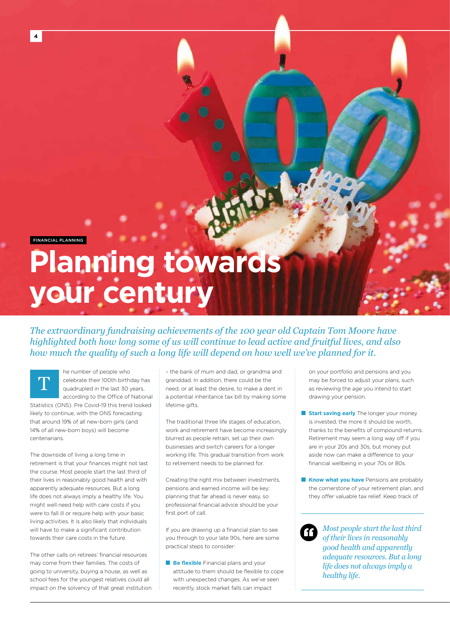FINANCIAL PLANNING

T

## **Planning towards your century**

*The extraordinary fundraising achievements of the 100 year old Captain Tom Moore have highlighted both how long some of us will continue to lead active and fruitful lives, and also how much the quality of such a long life will depend on how well we've planned for it.* 

he number of people who celebrate their 100th birthday has quadrupled in the last 30 years, according to the Office of National

Statistics (ONS). Pre Covid-19 this trend looked likely to continue, with the ONS forecasting that around 19% of all new-born girls (and 14% of all new-born boys) will become centenarians.

The downside of living a long time in retirement is that your finances might not last the course. Most people start the last third of their lives in reasonably good health and with apparently adequate resources. But a long life does not always imply a healthy life. You might well need help with care costs if you were to fall ill or require help with your basic living activities. It is also likely that individuals will have to make a significant contribution towards their care costs in the future.

The other calls on retirees' financial resources may come from their families. The costs of going to university, buying a house, as well as school fees for the youngest relatives could all impact on the solvency of that great institution – the bank of mum and dad, or grandma and granddad. In addition, there could be the need, or at least the desire, to make a dent in a potential inheritance tax bill by making some lifetime gifts.

The traditional three life stages of education, work and retirement have become increasingly blurred as people retrain, set up their own businesses and switch careers for a longer working life. This gradual transition from work to retirement needs to be planned for.

Creating the right mix between investments, pensions and earned income will be key: planning that far ahead is never easy, so professional financial advice should be your first port of call.

If you are drawing up a financial plan to see you through to your late 90s, here are some practical steps to consider:

**Be flexible** Financial plans and your attitude to them should be flexible to cope with unexpected changes. As we've seen recently, stock market falls can impact

on your portfolio and pensions and you may be forced to adjust your plans, such as reviewing the age you intend to start drawing your pension.

- **E** Start saving early The longer your money is invested, the more it should be worth, thanks to the benefits of compound returns. Retirement may seem a long way off if you are in your 20s and 30s, but money put aside now can make a difference to your financial wellbeing in your 70s or 80s.
- **Know what you have** Pensions are probably the cornerstone of your retirement plan, and they offer valuable tax relief. Keep track of

*Most people start the last third of their lives in reasonably good health and apparently adequate resources. But a long life does not always imply a healthy life.*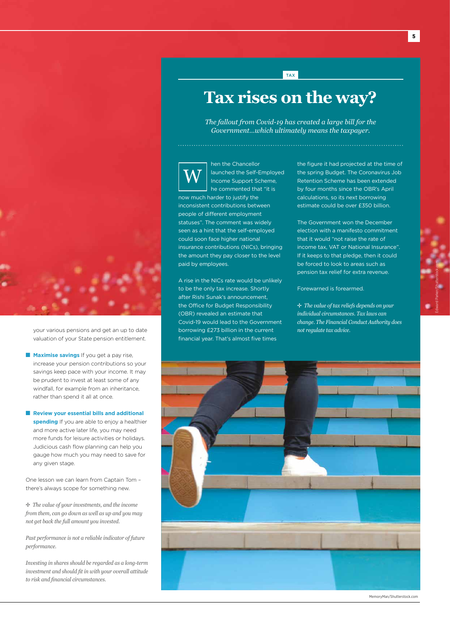

your various pensions and get an up to date valuation of your State pension entitlement.

- **Maximise savings** If you get a pay rise, increase your pension contributions so your savings keep pace with your income. It may be prudent to invest at least some of any windfall, for example from an inheritance rather than spend it all at once.
- **Review your essential bills and additional spending** If you are able to enjoy a healthier and more active later life, you may need more funds for leisure activities or holidays. Judicious cash flow planning can help you gauge how much you may need to save for any given stage.

One lesson we can learn from Captain Tom – there's always scope for something new.

B *The value of your investments, and the income from them, can go down as well as up and you may not get back the full amount you invested.* 

*Past performance is not a reliable indicator of future performance.* 

*Investing in shares should be regarded as a long-term investment and should fit in with your overall attitude to risk and financial circumstances.*

## **Tax rises on the way?**

TAX

*The fallout from Covid-19 has created a large bill for the Government…which ultimately means the taxpayer.*

hen the Chancellor launched the Self-Employed Income Support Scheme, W

he commented that "it is now much harder to justify the inconsistent contributions between people of different employment statuses". The comment was widely seen as a hint that the self-employed could soon face higher national insurance contributions (NICs), bringing the amount they pay closer to the level paid by employees.

A rise in the NICs rate would be unlikely to be the only tax increase. Shortly after Rishi Sunak's announcement, the Office for Budget Responsibility (OBR) revealed an estimate that Covid-19 would lead to the Government borrowing £273 billion in the current financial year. That's almost five times

the figure it had projected at the time of the spring Budget. The Coronavirus Job Retention Scheme has been extended by four months since the OBR's April calculations, so its next borrowing estimate could be over £350 billion.

The Government won the December election with a manifesto commitment that it would "not raise the rate of income tax, VAT or National Insurance". If it keeps to that pledge, then it could be forced to look to areas such as pension tax relief for extra revenue.

Forewarned is forearmed.

B *The value of tax reliefs depends on your individual circumstances. Tax laws can change. The Financial Conduct Authority does not regulate tax advice.*



MemoryMan/Shutterstock.com

Edward Parker/Shutterstock.com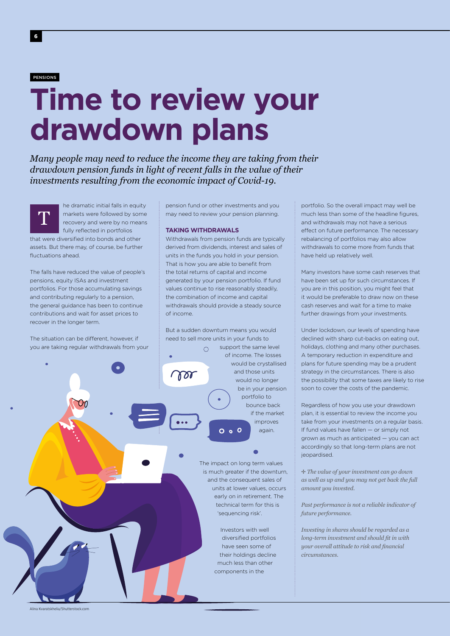#### PENSIONS

T

## **Time to review your drawdown plans**

*Many people may need to reduce the income they are taking from their drawdown pension funds in light of recent falls in the value of their investments resulting from the economic impact of Covid-19.* 

he dramatic initial falls in equity markets were followed by some recovery and were by no means fully reflected in portfolios

that were diversified into bonds and other assets. But there may, of course, be further fluctuations ahead.

The falls have reduced the value of people's pensions, equity ISAs and investment portfolios. For those accumulating savings and contributing regularly to a pension, the general guidance has been to continue contributions and wait for asset prices to recover in the longer term.

The situation can be different, however, if you are taking regular withdrawals from your pension fund or other investments and you may need to review your pension planning.

#### **TAKING WITHDRAWALS**

Withdrawals from pension funds are typically derived from dividends, interest and sales of units in the funds you hold in your pension. That is how you are able to benefit from the total returns of capital and income generated by your pension portfolio. If fund values continue to rise reasonably steadily, the combination of income and capital withdrawals should provide a steady source of income.

But a sudden downturn means you would need to sell more units in your funds to support the same level  $\cap$ of income. The losses would be crystallised and those units por would no longer be in your pension portfolio to bounce back if the market improves  $0<sub>o</sub>$ again.

> The impact on long term values is much greater if the downturn, and the consequent sales of units at lower values, occurs early on in retirement. The technical term for this is 'sequencing risk'.

> > Investors with well diversified portfolios have seen some of their holdings decline much less than other components in the

portfolio. So the overall impact may well be much less than some of the headline figures, and withdrawals may not have a serious effect on future performance. The necessary rebalancing of portfolios may also allow withdrawals to come more from funds that have held up relatively well.

Many investors have some cash reserves that have been set up for such circumstances. If you are in this position, you might feel that it would be preferable to draw now on these cash reserves and wait for a time to make further drawings from your investments.

Under lockdown, our levels of spending have declined with sharp cut-backs on eating out, holidays, clothing and many other purchases. A temporary reduction in expenditure and plans for future spending may be a prudent strategy in the circumstances. There is also the possibility that some taxes are likely to rise soon to cover the costs of the pandemic.

Regardless of how you use your drawdown plan, it is essential to review the income you take from your investments on a regular basis. If fund values have fallen — or simply not grown as much as anticipated — you can act accordingly so that long-term plans are not jeopardised.

B *The value of your investment can go down as well as up and you may not get back the full amount you invested.* 

*Past performance is not a reliable indicator of future performance.* 

*Investing in shares should be regarded as a long-term investment and should fit in with your overall attitude to risk and financial circumstances.*

Alina Kvaratskhelia/Shutterstock.com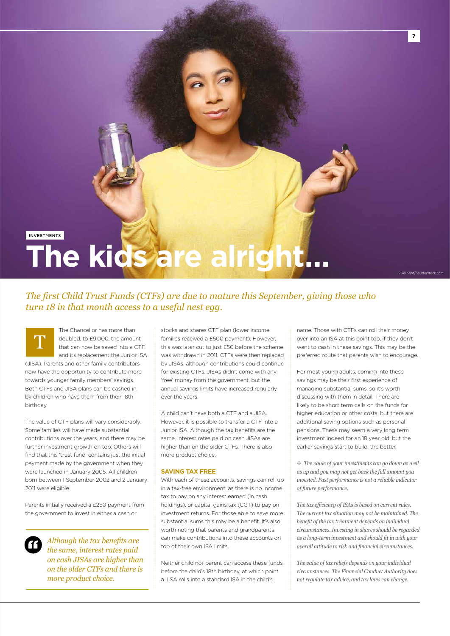## **INVESTMENTS The kids are alright…**

*The first Child Trust Funds (CTFs) are due to mature this September, giving those who turn 18 in that month access to a useful nest egg.* 

T

The Chancellor has more than doubled, to £9,000, the amount that can now be saved into a CTF, and its replacement the Junior ISA

(JISA). Parents and other family contributors now have the opportunity to contribute more towards younger family members' savings. Both CTFs and JISA plans can be cashed in by children who have them from their 18th birthday.

The value of CTF plans will vary considerably. Some families will have made substantial contributions over the years, and there may be further investment growth on top. Others will find that this 'trust fund' contains just the initial payment made by the government when they were launched in January 2005. All children born between 1 September 2002 and 2 January 2011 were eligible.

Parents initially received a £250 payment from the government to invest in either a cash or



*Although the tax benefits are the same, interest rates paid on cash JISAs are higher than on the older CTFs and there is more product choice.*

stocks and shares CTF plan (lower income families received a £500 payment). However, this was later cut to just £50 before the scheme was withdrawn in 2011. CTFs were then replaced by JISAs, although contributions could continue for existing CTFs. JISAs didn't come with any 'free' money from the government, but the annual savings limits have increased regularly over the years.

A child can't have both a CTF and a JISA. However, it is possible to transfer a CTF into a Junior ISA. Although the tax benefits are the same, interest rates paid on cash JISAs are higher than on the older CTFs. There is also more product choice.

#### **SAVING TAX FREE**

With each of these accounts, savings can roll up in a tax-free environment, as there is no income tax to pay on any interest earned (in cash holdings), or capital gains tax (CGT) to pay on investment returns. For those able to save more substantial sums this may be a benefit. It's also worth noting that parents and grandparents can make contributions into these accounts on top of their own ISA limits.

Neither child nor parent can access these funds before the child's 18th birthday, at which point a JISA rolls into a standard ISA in the child's

name. Those with CTFs can roll their money over into an ISA at this point too, if they don't want to cash in these savings. This may be the preferred route that parents wish to encourage.

**7**

For most young adults, coming into these savings may be their first experience of managing substantial sums, so it's worth discussing with them in detail. There are likely to be short term calls on the funds for higher education or other costs, but there are additional saving options such as personal pensions. These may seem a very long term investment indeed for an 18 year old, but the earlier savings start to build, the better.

B *The value of your investments can go down as well as up and you may not get back the full amount you invested. Past performance is not a reliable indicator of future performance.* 

*The tax efficiency of ISAs is based on current rules. The current tax situation may not be maintained. The benefit of the tax treatment depends on individual circumstances. Investing in shares should be regarded as a long-term investment and should fit in with your overall attitude to risk and financial circumstances.*

*The value of tax reliefs depends on your individual circumstances. The Financial Conduct Authority does not regulate tax advice, and tax laws can change.*